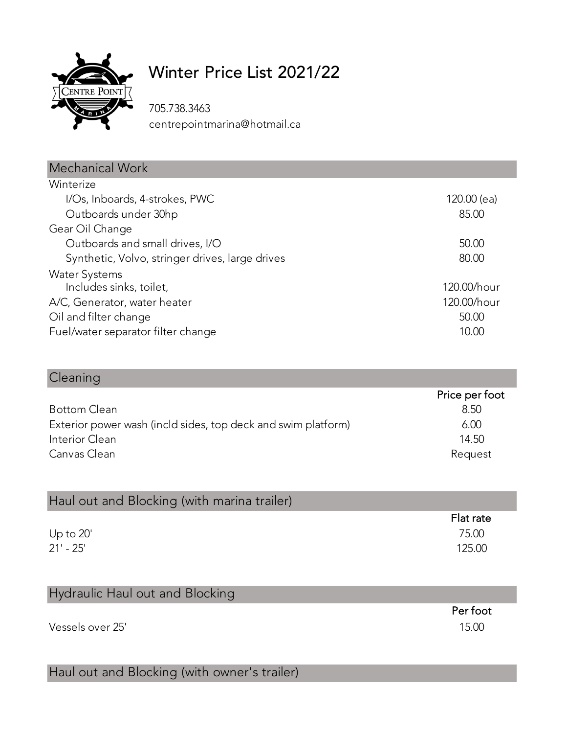

Cleaning

## Winter Price List 2021/22

705.738.3463 centrepointmarina@hotmail.ca

| Mechanical Work                                 |             |
|-------------------------------------------------|-------------|
| Winterize                                       |             |
| I/Os, Inboards, 4-strokes, PWC                  | 120.00 (ea) |
| Outboards under 30hp                            | 85.00       |
| Gear Oil Change                                 |             |
| Outboards and small drives, I/O                 | 50.00       |
| Synthetic, Volvo, stringer drives, large drives | 80.00       |
| <b>Water Systems</b>                            |             |
| Includes sinks, toilet,                         | 120.00/hour |
| A/C, Generator, water heater                    | 120.00/hour |
| Oil and filter change                           | 50.00       |
| Fuel/water separator filter change              | 10.00       |

|                                                               | Price per foot |
|---------------------------------------------------------------|----------------|
| <b>Bottom Clean</b>                                           | 8.50           |
| Exterior power wash (incld sides, top deck and swim platform) | 6.00           |
| Interior Clean                                                | 14.50          |
| Canvas Clean                                                  | Request        |
|                                                               |                |

| Haul out and Blocking (with marina trailer) |           |
|---------------------------------------------|-----------|
|                                             | Flat rate |
| Up to $20^{\circ}$                          | 75.00     |
| $21' - 25'$                                 | 125.00    |

| Hydraulic Haul out and Blocking |          |
|---------------------------------|----------|
|                                 | Per foot |
| Vessels over 25'                | 15.00    |
|                                 |          |

## Haul out and Blocking (with owner's trailer)